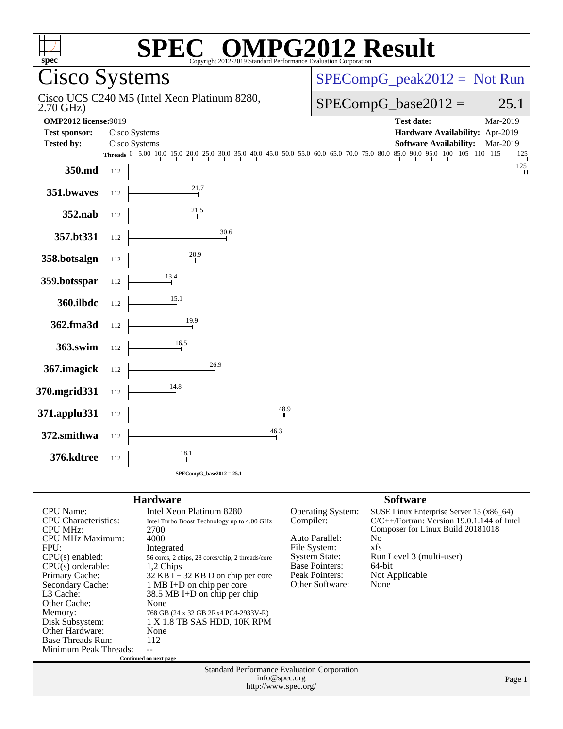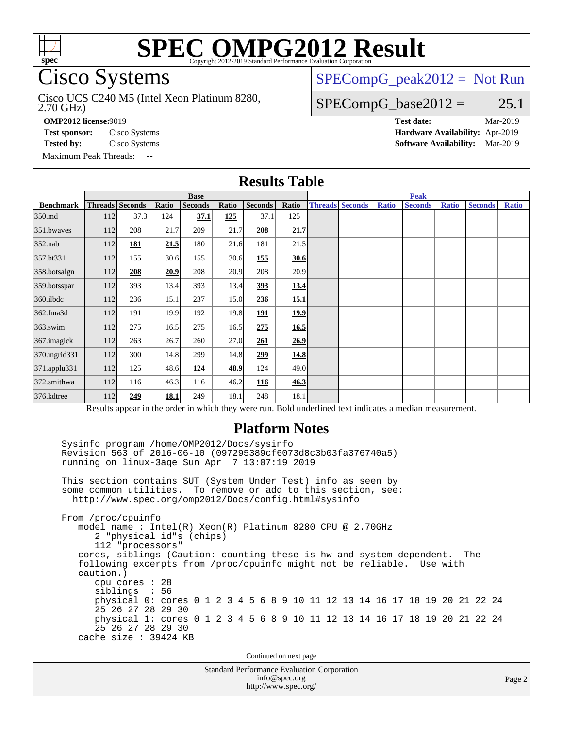

# SPI<br>Cisco Systems

#### Cisco UCS C240 M5 (Intel Xeon Platinum 8280,

[SPECompG\\_peak2012 =](http://www.spec.org/auto/omp2012/Docs/result-fields.html#SPECompGpeak2012) Not Run

#### $SPECompG_base2012 = 25.1$  $SPECompG_base2012 = 25.1$

2.70 GHz)

**[OMP2012 license:](http://www.spec.org/auto/omp2012/Docs/result-fields.html#OMP2012license)**9019 **[Test date:](http://www.spec.org/auto/omp2012/Docs/result-fields.html#Testdate)** Mar-2019

[Maximum Peak Threads:](http://www.spec.org/auto/omp2012/Docs/result-fields.html#MaximumPeakThreads) --

**[Test sponsor:](http://www.spec.org/auto/omp2012/Docs/result-fields.html#Testsponsor)** Cisco Systems **[Hardware Availability:](http://www.spec.org/auto/omp2012/Docs/result-fields.html#HardwareAvailability)** Apr-2019 **[Tested by:](http://www.spec.org/auto/omp2012/Docs/result-fields.html#Testedby)** Cisco Systems **[Software Availability:](http://www.spec.org/auto/omp2012/Docs/result-fields.html#SoftwareAvailability)** Mar-2019

|                  |                                                                                                                                                                                                                                                                                                                                                                                                                                                                                                                                                 |                                                                                          |             |                          |       | <b>Results Table</b>                                                                                                                                                                               |       |  |                        |              |                |  |              |                |       |
|------------------|-------------------------------------------------------------------------------------------------------------------------------------------------------------------------------------------------------------------------------------------------------------------------------------------------------------------------------------------------------------------------------------------------------------------------------------------------------------------------------------------------------------------------------------------------|------------------------------------------------------------------------------------------|-------------|--------------------------|-------|----------------------------------------------------------------------------------------------------------------------------------------------------------------------------------------------------|-------|--|------------------------|--------------|----------------|--|--------------|----------------|-------|
|                  |                                                                                                                                                                                                                                                                                                                                                                                                                                                                                                                                                 |                                                                                          |             | <b>Peak</b>              |       |                                                                                                                                                                                                    |       |  |                        |              |                |  |              |                |       |
| <b>Benchmark</b> | Threads Seconds                                                                                                                                                                                                                                                                                                                                                                                                                                                                                                                                 |                                                                                          | Ratio       | Seconds                  | Ratio | Seconds                                                                                                                                                                                            | Ratio |  | <b>Threads Seconds</b> | <b>Ratio</b> | <b>Seconds</b> |  | <b>Ratio</b> | <b>Seconds</b> | Ratio |
| 350.md           | 112                                                                                                                                                                                                                                                                                                                                                                                                                                                                                                                                             | 37.3                                                                                     | 124         | 37.1                     | 125   | 37.1                                                                                                                                                                                               | 125   |  |                        |              |                |  |              |                |       |
| 351.bwayes       | 112                                                                                                                                                                                                                                                                                                                                                                                                                                                                                                                                             | 208                                                                                      | 21.7        | 209                      | 21.7  | 208                                                                                                                                                                                                | 21.7  |  |                        |              |                |  |              |                |       |
| 352.nab          | 112                                                                                                                                                                                                                                                                                                                                                                                                                                                                                                                                             | 181                                                                                      | 21.5        | 180                      | 21.6  | 181                                                                                                                                                                                                | 21.5  |  |                        |              |                |  |              |                |       |
| 357.bt331        | 112                                                                                                                                                                                                                                                                                                                                                                                                                                                                                                                                             | 155                                                                                      | 30.6        | 155                      | 30.6  | <u>155</u>                                                                                                                                                                                         | 30.6  |  |                        |              |                |  |              |                |       |
| 358.botsalgn     | 112                                                                                                                                                                                                                                                                                                                                                                                                                                                                                                                                             | 208                                                                                      | 20.9        | 208                      | 20.9  | 208                                                                                                                                                                                                | 20.9  |  |                        |              |                |  |              |                |       |
| 359.botsspar     | 112                                                                                                                                                                                                                                                                                                                                                                                                                                                                                                                                             | 393                                                                                      | 13.4        | 393                      | 13.4  | 393                                                                                                                                                                                                | 13.4  |  |                        |              |                |  |              |                |       |
| 360.ilbdc        | 112                                                                                                                                                                                                                                                                                                                                                                                                                                                                                                                                             | 236                                                                                      | 15.1        | 237                      | 15.0  | 236                                                                                                                                                                                                | 15.1  |  |                        |              |                |  |              |                |       |
| 362.fma3d        | 112                                                                                                                                                                                                                                                                                                                                                                                                                                                                                                                                             | 191                                                                                      | 19.9        | 192                      | 19.8  | <u>191</u>                                                                                                                                                                                         | 19.9  |  |                        |              |                |  |              |                |       |
| 363.swim         | 112                                                                                                                                                                                                                                                                                                                                                                                                                                                                                                                                             | 275                                                                                      | 16.5        | 275                      | 16.5  | 275                                                                                                                                                                                                | 16.5  |  |                        |              |                |  |              |                |       |
| 367. imagick     | 112                                                                                                                                                                                                                                                                                                                                                                                                                                                                                                                                             | 263                                                                                      | 26.7        | 260                      | 27.0  | 261                                                                                                                                                                                                | 26.9  |  |                        |              |                |  |              |                |       |
| 370.mgrid331     | 112                                                                                                                                                                                                                                                                                                                                                                                                                                                                                                                                             | 300                                                                                      | 14.8        | 299                      | 14.8  | 299                                                                                                                                                                                                | 14.8  |  |                        |              |                |  |              |                |       |
| 371.applu331     | 112                                                                                                                                                                                                                                                                                                                                                                                                                                                                                                                                             | 125                                                                                      | 48.6        | 124                      | 48.9  | 124                                                                                                                                                                                                | 49.0  |  |                        |              |                |  |              |                |       |
| 372.smithwa      | 112                                                                                                                                                                                                                                                                                                                                                                                                                                                                                                                                             | 116                                                                                      | 46.3        | 116                      | 46.2  | 116                                                                                                                                                                                                | 46.3  |  |                        |              |                |  |              |                |       |
| 376.kdtree       | 112                                                                                                                                                                                                                                                                                                                                                                                                                                                                                                                                             | 249                                                                                      | <b>18.1</b> | 249                      | 18.1  | 248                                                                                                                                                                                                | 18.1  |  |                        |              |                |  |              |                |       |
|                  |                                                                                                                                                                                                                                                                                                                                                                                                                                                                                                                                                 |                                                                                          |             |                          |       | Results appear in the order in which they were run. Bold underlined text indicates a median measurement.                                                                                           |       |  |                        |              |                |  |              |                |       |
|                  | Revision 563 of 2016-06-10 (097295389cf6073d8c3b03fa376740a5)<br>running on linux-3age Sun Apr 7 13:07:19 2019<br>This section contains SUT (System Under Test) info as seen by<br>some common utilities.<br>http://www.spec.org/omp2012/Docs/config.html#sysinfo<br>From /proc/cpuinfo<br>model name: $Intel(R)$ Xeon $(R)$ Platinum 8280 CPU @ 2.70GHz<br>cores, siblings (Caution: counting these is hw and system dependent.<br>following excerpts from /proc/cpuinfo might not be reliable. Use with<br>caution.)<br>cache size : 39424 KB | 112 "processors"<br>cpu cores : 28<br>siblings<br>25 26 27 28 29 30<br>25 26 27 28 29 30 | : 56        | 2 "physical id"s (chips) |       | To remove or add to this section, see:<br>physical 0: cores 0 1 2 3 4 5 6 8 9 10 11 12 13 14 16 17 18 19 20 21 22 24<br>physical 1: cores 0 1 2 3 4 5 6 8 9 10 11 12 13 14 16 17 18 19 20 21 22 24 |       |  |                        |              |                |  |              | The            |       |
|                  |                                                                                                                                                                                                                                                                                                                                                                                                                                                                                                                                                 |                                                                                          |             |                          |       | Continued on next page                                                                                                                                                                             |       |  |                        |              |                |  |              |                |       |
|                  | <b>Standard Performance Evaluation Corporation</b><br>info@spec.org<br>http://www.spec.org/                                                                                                                                                                                                                                                                                                                                                                                                                                                     |                                                                                          |             |                          |       |                                                                                                                                                                                                    |       |  |                        |              |                |  |              | Page 2         |       |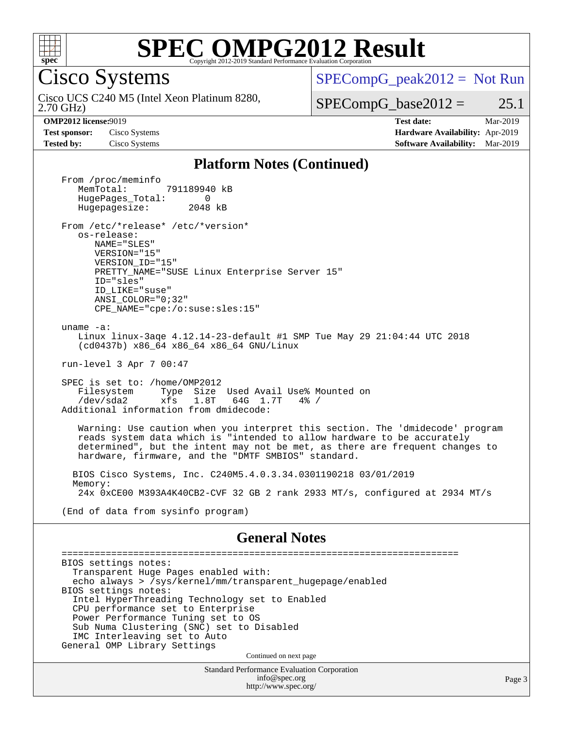

Cisco Systems

 $SPECompG_peak2012 = Not Run$  $SPECompG_peak2012 = Not Run$ 

2.70 GHz) Cisco UCS C240 M5 (Intel Xeon Platinum 8280,

 $SPECompG_base2012 = 25.1$  $SPECompG_base2012 = 25.1$ 

**[OMP2012 license:](http://www.spec.org/auto/omp2012/Docs/result-fields.html#OMP2012license)**9019 **[Test date:](http://www.spec.org/auto/omp2012/Docs/result-fields.html#Testdate)** Mar-2019 **[Test sponsor:](http://www.spec.org/auto/omp2012/Docs/result-fields.html#Testsponsor)** Cisco Systems **[Hardware Availability:](http://www.spec.org/auto/omp2012/Docs/result-fields.html#HardwareAvailability)** Apr-2019 **[Tested by:](http://www.spec.org/auto/omp2012/Docs/result-fields.html#Testedby)** Cisco Systems **[Software Availability:](http://www.spec.org/auto/omp2012/Docs/result-fields.html#SoftwareAvailability)** Mar-2019

#### **[Platform Notes \(Continued\)](http://www.spec.org/auto/omp2012/Docs/result-fields.html#PlatformNotes)**

Standard Performance Evaluation Corporation [info@spec.org](mailto:info@spec.org) <http://www.spec.org/> Page 3 From /proc/meminfo MemTotal: 791189940 kB HugePages\_Total: 0<br>Hugepagesize: 2048 kB Hugepagesize: From /etc/\*release\* /etc/\*version\* os-release: NAME="SLES" VERSION="15" VERSION\_ID="15" PRETTY NAME="SUSE Linux Enterprise Server 15" ID="sles" ID\_LIKE="suse" ANSI\_COLOR="0;32" CPE\_NAME="cpe:/o:suse:sles:15" uname -a: Linux linux-3aqe 4.12.14-23-default #1 SMP Tue May 29 21:04:44 UTC 2018 (cd0437b) x86\_64 x86\_64 x86\_64 GNU/Linux run-level 3 Apr 7 00:47 SPEC is set to: /home/OMP2012 Filesystem Type Size Used Avail Use% Mounted on /dev/sda2 xfs 1.8T 64G 1.7T 4% / Additional information from dmidecode: Warning: Use caution when you interpret this section. The 'dmidecode' program reads system data which is "intended to allow hardware to be accurately determined", but the intent may not be met, as there are frequent changes to hardware, firmware, and the "DMTF SMBIOS" standard. BIOS Cisco Systems, Inc. C240M5.4.0.3.34.0301190218 03/01/2019 Memory: 24x 0xCE00 M393A4K40CB2-CVF 32 GB 2 rank 2933 MT/s, configured at 2934 MT/s (End of data from sysinfo program) **[General Notes](http://www.spec.org/auto/omp2012/Docs/result-fields.html#GeneralNotes)** ======================================================================== BIOS settings notes: Transparent Huge Pages enabled with: echo always > /sys/kernel/mm/transparent\_hugepage/enabled BIOS settings notes: Intel HyperThreading Technology set to Enabled CPU performance set to Enterprise Power Performance Tuning set to OS Sub Numa Clustering (SNC) set to Disabled IMC Interleaving set to Auto General OMP Library Settings Continued on next page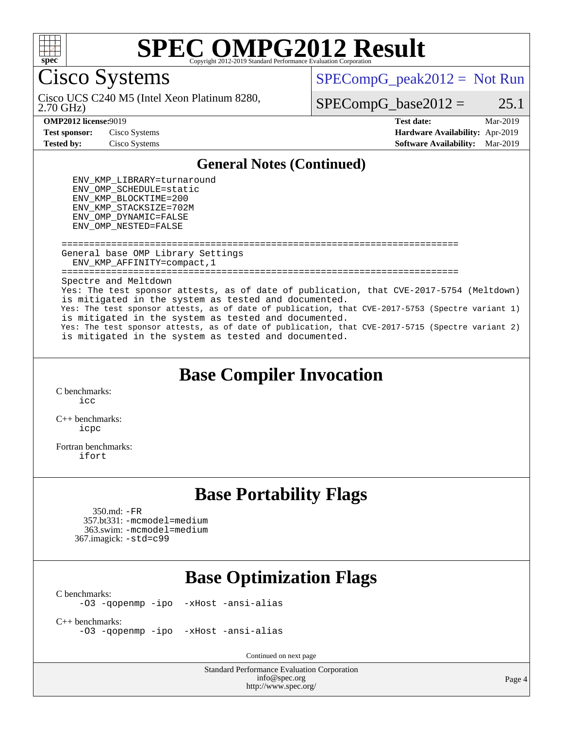

Cisco Systems

Cisco UCS C240 M5 (Intel Xeon Platinum 8280,  $SPECompG_peak2012 = Not Run$  $SPECompG_peak2012 = Not Run$ 

 $SPECompG_base2012 = 25.1$  $SPECompG_base2012 = 25.1$ 

#### 2.70 GHz)

**[OMP2012 license:](http://www.spec.org/auto/omp2012/Docs/result-fields.html#OMP2012license)**9019 **[Test date:](http://www.spec.org/auto/omp2012/Docs/result-fields.html#Testdate)** Mar-2019 **[Test sponsor:](http://www.spec.org/auto/omp2012/Docs/result-fields.html#Testsponsor)** Cisco Systems **[Hardware Availability:](http://www.spec.org/auto/omp2012/Docs/result-fields.html#HardwareAvailability)** Apr-2019 **[Tested by:](http://www.spec.org/auto/omp2012/Docs/result-fields.html#Testedby)** Cisco Systems **[Software Availability:](http://www.spec.org/auto/omp2012/Docs/result-fields.html#SoftwareAvailability)** Mar-2019

#### **[General Notes \(Continued\)](http://www.spec.org/auto/omp2012/Docs/result-fields.html#GeneralNotes)**

 ENV\_KMP\_LIBRARY=turnaround ENV\_OMP\_SCHEDULE=static ENV\_KMP\_BLOCKTIME=200 ENV\_KMP\_STACKSIZE=702M ENV\_OMP\_DYNAMIC=FALSE ENV\_OMP\_NESTED=FALSE

 ======================================================================== General base OMP Library Settings ENV\_KMP\_AFFINITY=compact,1 ======================================================================== Spectre and Meltdown Yes: The test sponsor attests, as of date of publication, that CVE-2017-5754 (Meltdown) is mitigated in the system as tested and documented. Yes: The test sponsor attests, as of date of publication, that CVE-2017-5753 (Spectre variant 1) is mitigated in the system as tested and documented. Yes: The test sponsor attests, as of date of publication, that CVE-2017-5715 (Spectre variant 2) is mitigated in the system as tested and documented.

## **[Base Compiler Invocation](http://www.spec.org/auto/omp2012/Docs/result-fields.html#BaseCompilerInvocation)**

[C benchmarks](http://www.spec.org/auto/omp2012/Docs/result-fields.html#Cbenchmarks): [icc](http://www.spec.org/omp2012/results/res2019q2/omp2012-20190312-00165.flags.html#user_CCbase_intel_icc_a87c68a857bc5ec5362391a49d3a37a6)

[C++ benchmarks:](http://www.spec.org/auto/omp2012/Docs/result-fields.html#CXXbenchmarks) [icpc](http://www.spec.org/omp2012/results/res2019q2/omp2012-20190312-00165.flags.html#user_CXXbase_intel_icpc_2d899f8d163502b12eb4a60069f80c1c)

[Fortran benchmarks](http://www.spec.org/auto/omp2012/Docs/result-fields.html#Fortranbenchmarks): [ifort](http://www.spec.org/omp2012/results/res2019q2/omp2012-20190312-00165.flags.html#user_FCbase_intel_ifort_8a5e5e06b19a251bdeaf8fdab5d62f20)

### **[Base Portability Flags](http://www.spec.org/auto/omp2012/Docs/result-fields.html#BasePortabilityFlags)**

 350.md: [-FR](http://www.spec.org/omp2012/results/res2019q2/omp2012-20190312-00165.flags.html#user_baseFPORTABILITY350_md_f-FR) 357.bt331: [-mcmodel=medium](http://www.spec.org/omp2012/results/res2019q2/omp2012-20190312-00165.flags.html#user_basePORTABILITY357_bt331_f-mcmodel_3a41622424bdd074c4f0f2d2f224c7e5) 363.swim: [-mcmodel=medium](http://www.spec.org/omp2012/results/res2019q2/omp2012-20190312-00165.flags.html#user_basePORTABILITY363_swim_f-mcmodel_3a41622424bdd074c4f0f2d2f224c7e5) 367.imagick: [-std=c99](http://www.spec.org/omp2012/results/res2019q2/omp2012-20190312-00165.flags.html#user_baseCPORTABILITY367_imagick_f-std_2ec6533b6e06f1c4a6c9b78d9e9cde24)

## **[Base Optimization Flags](http://www.spec.org/auto/omp2012/Docs/result-fields.html#BaseOptimizationFlags)**

[C benchmarks](http://www.spec.org/auto/omp2012/Docs/result-fields.html#Cbenchmarks): [-O3](http://www.spec.org/omp2012/results/res2019q2/omp2012-20190312-00165.flags.html#user_CCbase_f-O3) [-qopenmp](http://www.spec.org/omp2012/results/res2019q2/omp2012-20190312-00165.flags.html#user_CCbase_f-qopenmp) [-ipo](http://www.spec.org/omp2012/results/res2019q2/omp2012-20190312-00165.flags.html#user_CCbase_f-ipo_84062ab53814f613187d02344b8f49a7) [-xHost](http://www.spec.org/omp2012/results/res2019q2/omp2012-20190312-00165.flags.html#user_CCbase_f-xHost) [-ansi-alias](http://www.spec.org/omp2012/results/res2019q2/omp2012-20190312-00165.flags.html#user_CCbase_f-ansi-alias)

[C++ benchmarks:](http://www.spec.org/auto/omp2012/Docs/result-fields.html#CXXbenchmarks) [-O3](http://www.spec.org/omp2012/results/res2019q2/omp2012-20190312-00165.flags.html#user_CXXbase_f-O3) [-qopenmp](http://www.spec.org/omp2012/results/res2019q2/omp2012-20190312-00165.flags.html#user_CXXbase_f-qopenmp) [-ipo](http://www.spec.org/omp2012/results/res2019q2/omp2012-20190312-00165.flags.html#user_CXXbase_f-ipo_84062ab53814f613187d02344b8f49a7) [-xHost](http://www.spec.org/omp2012/results/res2019q2/omp2012-20190312-00165.flags.html#user_CXXbase_f-xHost) [-ansi-alias](http://www.spec.org/omp2012/results/res2019q2/omp2012-20190312-00165.flags.html#user_CXXbase_f-ansi-alias)

Continued on next page

Standard Performance Evaluation Corporation [info@spec.org](mailto:info@spec.org) <http://www.spec.org/>